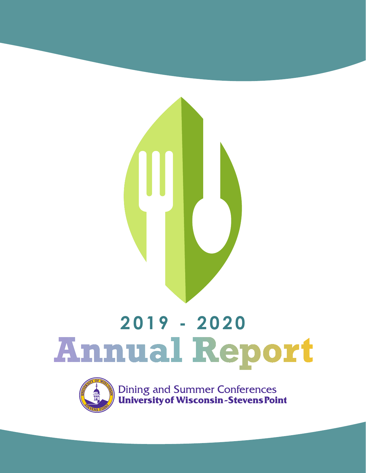

# **2019 - 2020**



**Dining and Summer Conferences<br>
University of Wisconsin-Stevens Point**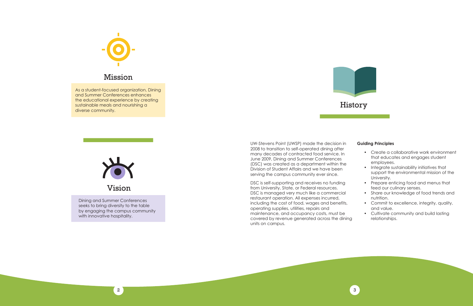

# Mission

# History

As a student-focused organization, Dining and Summer Conferences enhances the educational experience by creating sustainable meals and nourishing a diverse community.



Dining and Summer Conferences seeks to bring diversity to the table by engaging the campus community with innovative hospitality.

UW-Stevens Point (UWSP) made the decision in 2008 to transition to self-operated dining after many decades of contracted food service. In June 2009, Dining and Summer Conferences (DSC) was created as a department within the Division of Student Affairs and we have been serving the campus community ever since.

DSC is self-supporting and receives no funding from University, State, or Federal resources. DSC is managed very much like a commercial restaurant operation. All expenses incurred, including the cost of food, wages and benefits, operating supplies, utilities, repairs and maintenance, and occupancy costs, must be covered by revenue generated across the dining units on campus.



#### **Guiding Principles**

- Create a collaborative work environment that educates and engages student employees.
- Integrate sustainability initiatives that support the environmental mission of the University.
- Prepare enticing food and menus that feed our culinary senses.
- Share our knowledge of food trends and nutrition.
- Commit to excellence, integrity, quality, and value.
- Cultivate community and build lasting relationships.

Vision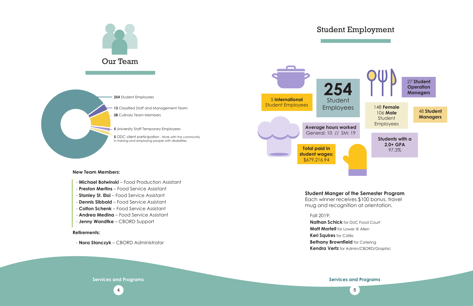

**5** ODC client participation - Work with the community in training and employing people with disabilities.

#### **New Team Members:**

- **Michael Botwinski** Food Production Assistant
- **Preston Mertins** Food Service Assistant
- **Stanley St. Eloi** Food Service Assistant
- **Dennis Sibbald** Food Service Assistant
- **Colton Schenk** Food Service Assistant
- **Andrea Medina** Food Service Assistant
- **Jenny Wandtke** CBORD Support

#### **Retirements:**

- **Nora Stanczyk** – CBORD Administrator

# Student Employment

### Fall 2019:

**Nathan Schick** for DUC Food Court **Matt Mortell** for Lower @ Allen **Keri Squires** for Cafés **Bethany Brownfield** for Catering **Kendra Vertz** for Admin/CBORD/Graphic

## **Student Manger of the Semester Program**

Each winner receives \$100 bonus, travel mug and recognition at orientation.

**Services and Programs Services and Programs**

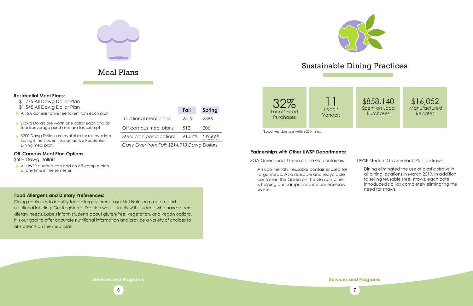# Meal Plans Sustainable Dining Practices



#### **Residential Meal Plans:**

All UWSP students can add an off-campus plan at any time in the semester.

- \$1,775 All Dawg Dollar Plan
- \$1,545 All Dawg Dollar Plan
- A 15% administrative fee taken from each plan
- Dawg Dollars are worth one dollar each and all food/beverage purchases are tax exempt.
- \$200 Dawg Dollars are available for roll-over into Spring if the student has an active Residential Dining meal plan.

#### **Off-Campus Meal Plan Options:**

\$50+ Dawg Dollars

#### **Partnerships with Other UWSP Departments:**

SGA-Green Fund: Green on the Go containers

An Eco-friendly, reusable container used for to-go meals. As a reusable and recyclable container, the Green on the Go container is helping our campus reduce unnecessary waste.

\$858,140 Spent on Local **Purchases** 

\$16,052 **Manufactured Rebates** 

|                                              | Fall   | <b>Spring</b>                    |
|----------------------------------------------|--------|----------------------------------|
| Traditional meal plans:                      | 2519   | 2396                             |
| Off campus meal plans:                       | 512    | 206                              |
| Meal plan participation:                     | 91.57% | *39.69%<br>*as of March 14, 2020 |
| Carry Over from Fall: \$214,910 Dawg Dollars |        |                                  |

#### **Food Allergens and Dietary Preferences:**

Dining continues to identify food allergies through our Net Nutrition program and nutritional labeling. Our Registered Dietitian works closely with students who have special dietary needs. Labels inform students about gluten-free, vegetarian, and vegan options. It is our goal to offer accurate nutritional information and provide a variety of choices to all students on the meal plan.



\*Local vendors are within 250 miles

UWSP Student Government: Plastic Straws

Dining eliminated the use of plastic straws in all dining locations in March 2019. In addition to selling reusable steel straws, each cafe introduced sip lids completely eliminating the need for straws.

**Services and Programs Services and Programs**

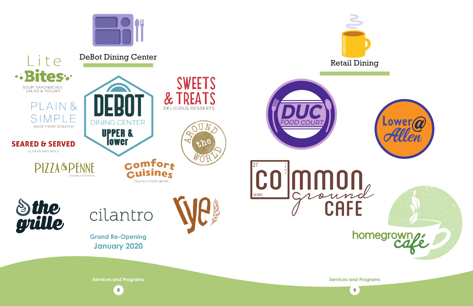















**Services and Programs Services and Programs**

**Grand Re-Opening January 2020**

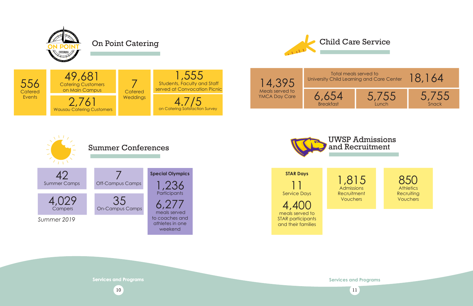## **Services and Programs**

# On Point Catering





**Services and Programs**



850 **Athletics Recruiting Vouchers** 





11 Service Days **STAR Days**  4,400 meals served to STAR participants and their families

# Child Care Service

18,164 Total meals served to<br>University Child Learning and Care Center  $\,$   $\,18,164$ 







Snack



## UWSP Admissions and Recruitment

1,815 Admissions **Recruitment** Vouchers